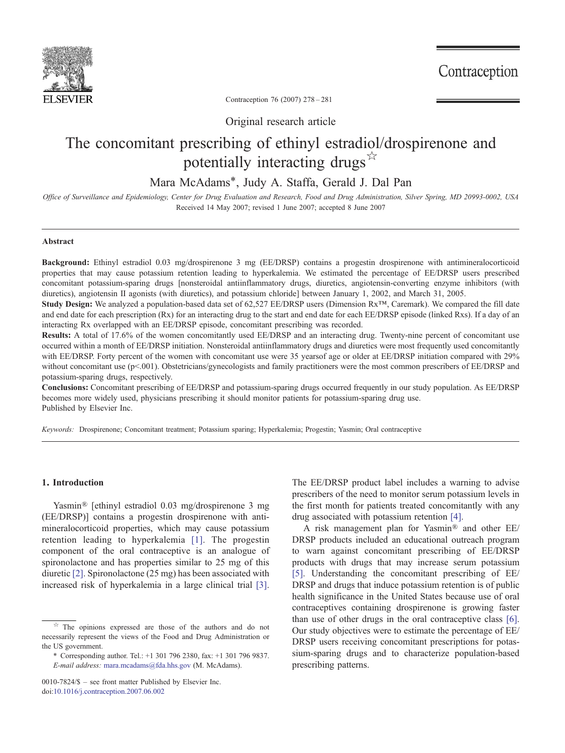

Contraception

Contraception 76 (2007) 278–281

Original research article

# The concomitant prescribing of ethinyl estradiol/drospirenone and potentially interacting drugs $\dot{x}$

# Mara McAdams⁎, Judy A. Staffa, Gerald J. Dal Pan

Office of Surveillance and Epidemiology, Center for Drug Evaluation and Research, Food and Drug Administration, Silver Spring, MD 20993-0002, USA Received 14 May 2007; revised 1 June 2007; accepted 8 June 2007

#### Abstract

Background: Ethinyl estradiol 0.03 mg/drospirenone 3 mg (EE/DRSP) contains a progestin drospirenone with antimineralocorticoid properties that may cause potassium retention leading to hyperkalemia. We estimated the percentage of EE/DRSP users prescribed concomitant potassium-sparing drugs [nonsteroidal antiinflammatory drugs, diuretics, angiotensin-converting enzyme inhibitors (with diuretics), angiotensin II agonists (with diuretics), and potassium chloride] between January 1, 2002, and March 31, 2005.

Study Design: We analyzed a population-based data set of 62,527 EE/DRSP users (Dimension Rx™, Caremark). We compared the fill date and end date for each prescription (Rx) for an interacting drug to the start and end date for each EE/DRSP episode (linked Rxs). If a day of an interacting Rx overlapped with an EE/DRSP episode, concomitant prescribing was recorded.

Results: A total of 17.6% of the women concomitantly used EE/DRSP and an interacting drug. Twenty-nine percent of concomitant use occurred within a month of EE/DRSP initiation. Nonsteroidal antiinflammatory drugs and diuretics were most frequently used concomitantly with EE/DRSP. Forty percent of the women with concomitant use were 35 yearsof age or older at EE/DRSP initiation compared with 29% without concomitant use (p<.001). Obstetricians/gynecologists and family practitioners were the most common prescribers of EE/DRSP and potassium-sparing drugs, respectively.

Conclusions: Concomitant prescribing of EE/DRSP and potassium-sparing drugs occurred frequently in our study population. As EE/DRSP becomes more widely used, physicians prescribing it should monitor patients for potassium-sparing drug use. Published by Elsevier Inc.

Keywords: Drospirenone; Concomitant treatment; Potassium sparing; Hyperkalemia; Progestin; Yasmin; Oral contraceptive

### 1. Introduction

Yasmin® [ethinyl estradiol 0.03 mg/drospirenone 3 mg (EE/DRSP)] contains a progestin drospirenone with antimineralocorticoid properties, which may cause potassium retention leading to hyperkalemia [\[1\]](#page-3-0). The progestin component of the oral contraceptive is an analogue of spironolactone and has properties similar to 25 mg of this diuretic [\[2\].](#page-3-0) Spironolactone (25 mg) has been associated with increased risk of hyperkalemia in a large clinical trial [\[3\].](#page-3-0)

0010-7824/\$ – see front matter Published by Elsevier Inc. doi[:10.1016/j.contraception.2007.06.002](http://dx.doi.org/10.1016/j.contraception.2007.06.002)

The EE/DRSP product label includes a warning to advise prescribers of the need to monitor serum potassium levels in the first month for patients treated concomitantly with any drug associated with potassium retention [\[4\].](#page-3-0)

A risk management plan for Yasmin® and other EE/ DRSP products included an educational outreach program to warn against concomitant prescribing of EE/DRSP products with drugs that may increase serum potassium [\[5\].](#page-3-0) Understanding the concomitant prescribing of EE/ DRSP and drugs that induce potassium retention is of public health significance in the United States because use of oral contraceptives containing drospirenone is growing faster than use of other drugs in the oral contraceptive class [\[6\].](#page-3-0) Our study objectives were to estimate the percentage of EE/ DRSP users receiving concomitant prescriptions for potassium-sparing drugs and to characterize population-based prescribing patterns.

 $\overrightarrow{r}$  The opinions expressed are those of the authors and do not necessarily represent the views of the Food and Drug Administration or the US government.

<sup>⁎</sup> Corresponding author. Tel.: +1 301 796 2380, fax: +1 301 796 9837. E-mail address: [mara.mcadams@fda.hhs.gov](mailto:mara.mcadams@fda.hhs.gov) (M. McAdams).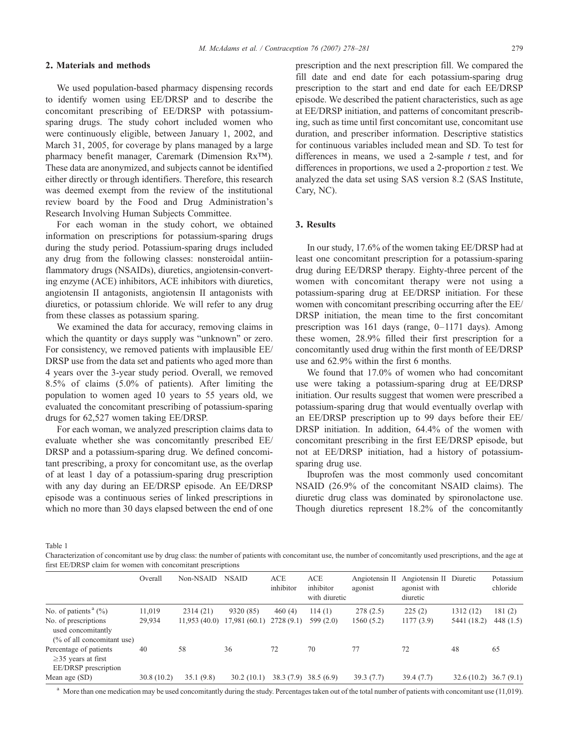### <span id="page-1-0"></span>2. Materials and methods

We used population-based pharmacy dispensing records to identify women using EE/DRSP and to describe the concomitant prescribing of EE/DRSP with potassiumsparing drugs. The study cohort included women who were continuously eligible, between January 1, 2002, and March 31, 2005, for coverage by plans managed by a large pharmacy benefit manager, Caremark (Dimension Rx™). These data are anonymized, and subjects cannot be identified either directly or through identifiers. Therefore, this research was deemed exempt from the review of the institutional review board by the Food and Drug Administration's Research Involving Human Subjects Committee.

For each woman in the study cohort, we obtained information on prescriptions for potassium-sparing drugs during the study period. Potassium-sparing drugs included any drug from the following classes: nonsteroidal antiinflammatory drugs (NSAIDs), diuretics, angiotensin-converting enzyme (ACE) inhibitors, ACE inhibitors with diuretics, angiotensin II antagonists, angiotensin II antagonists with diuretics, or potassium chloride. We will refer to any drug from these classes as potassium sparing.

We examined the data for accuracy, removing claims in which the quantity or days supply was "unknown" or zero. For consistency, we removed patients with implausible EE/ DRSP use from the data set and patients who aged more than 4 years over the 3-year study period. Overall, we removed 8.5% of claims (5.0% of patients). After limiting the population to women aged 10 years to 55 years old, we evaluated the concomitant prescribing of potassium-sparing drugs for 62,527 women taking EE/DRSP.

For each woman, we analyzed prescription claims data to evaluate whether she was concomitantly prescribed EE/ DRSP and a potassium-sparing drug. We defined concomitant prescribing, a proxy for concomitant use, as the overlap of at least 1 day of a potassium-sparing drug prescription with any day during an EE/DRSP episode. An EE/DRSP episode was a continuous series of linked prescriptions in which no more than 30 days elapsed between the end of one

prescription and the next prescription fill. We compared the fill date and end date for each potassium-sparing drug prescription to the start and end date for each EE/DRSP episode. We described the patient characteristics, such as age at EE/DRSP initiation, and patterns of concomitant prescribing, such as time until first concomitant use, concomitant use duration, and prescriber information. Descriptive statistics for continuous variables included mean and SD. To test for differences in means, we used a 2-sample  $t$  test, and for differences in proportions, we used a 2-proportion z test. We analyzed the data set using SAS version 8.2 (SAS Institute, Cary, NC).

# 3. Results

In our study, 17.6% of the women taking EE/DRSP had at least one concomitant prescription for a potassium-sparing drug during EE/DRSP therapy. Eighty-three percent of the women with concomitant therapy were not using a potassium-sparing drug at EE/DRSP initiation. For these women with concomitant prescribing occurring after the EE/ DRSP initiation, the mean time to the first concomitant prescription was 161 days (range, 0–1171 days). Among these women, 28.9% filled their first prescription for a concomitantly used drug within the first month of EE/DRSP use and 62.9% within the first 6 months.

We found that 17.0% of women who had concomitant use were taking a potassium-sparing drug at EE/DRSP initiation. Our results suggest that women were prescribed a potassium-sparing drug that would eventually overlap with an EE/DRSP prescription up to 99 days before their EE/ DRSP initiation. In addition, 64.4% of the women with concomitant prescribing in the first EE/DRSP episode, but not at EE/DRSP initiation, had a history of potassiumsparing drug use.

Ibuprofen was the most commonly used concomitant NSAID (26.9% of the concomitant NSAID claims). The diuretic drug class was dominated by spironolactone use. Though diuretics represent 18.2% of the concomitantly

Table 1

Characterization of concomitant use by drug class: the number of patients with concomitant use, the number of concomitantly used prescriptions, and the age at first EE/DRSP claim for women with concomitant prescriptions

|                                                                                     | Overall    | Non-NSAID | <b>NSAID</b>                 | <b>ACE</b><br>inhibitor | <b>ACE</b><br>inhibitor<br>with diuretic | Angiotensin II<br>agonist | Angiotensin II Diuretic<br>agonist with<br>diuretic |             | Potassium<br>chloride |
|-------------------------------------------------------------------------------------|------------|-----------|------------------------------|-------------------------|------------------------------------------|---------------------------|-----------------------------------------------------|-------------|-----------------------|
| No. of patients $\alpha$ (%)                                                        | 11,019     | 2314(21)  | 9320 (85)                    | 460(4)                  | 114(1)                                   | 278(2.5)                  | 225(2)                                              | 1312 (12)   | 181(2)                |
| No. of prescriptions<br>used concomitantly<br>$\frac{9}{6}$ of all concomitant use) | 29,934     |           | $11,953(40.0)$ 17,981 (60.1) | 2728(9.1)               | 599(2.0)                                 | 1560(5.2)                 | 1177(3.9)                                           | 5441 (18.2) | 448 $(1.5)$           |
| Percentage of patients<br>$\geq$ 35 years at first<br>EE/DRSP prescription          | 40         | 58        | 36                           | 72                      | 70                                       | 77                        | 72                                                  | 48          | 65                    |
| Mean age (SD)                                                                       | 30.8(10.2) | 35.1(9.8) | 30.2(10.1)                   | 38.3(7.9)               | 38.5(6.9)                                | 39.3(7.7)                 | 39.4(7.7)                                           | 32.6(10.2)  | 36.7(9.1)             |

<sup>a</sup> More than one medication may be used concomitantly during the study. Percentages taken out of the total number of patients with concomitant use (11,019).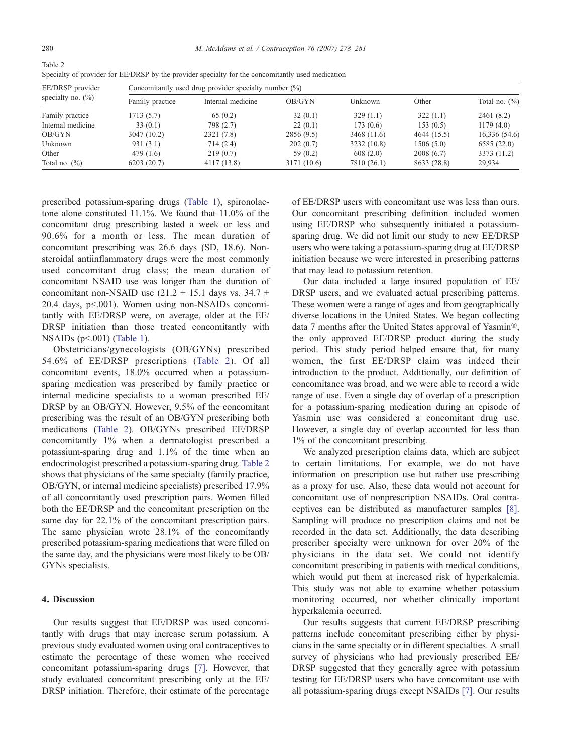| Table 2                                                                                           |
|---------------------------------------------------------------------------------------------------|
| Specialty of provider for EE/DRSP by the provider specialty for the concomitantly used medication |

| EE/DRSP provider<br>specialty no. $(\%)$ | Concomitantly used drug provider specialty number $(\%)$ |                   |             |             |             |                  |  |  |  |  |
|------------------------------------------|----------------------------------------------------------|-------------------|-------------|-------------|-------------|------------------|--|--|--|--|
|                                          | Family practice                                          | Internal medicine | OB/GYN      | Unknown     | Other       | Total no. $(\%)$ |  |  |  |  |
| Family practice                          | 1713(5.7)                                                | 65(0.2)           | 32(0.1)     | 329(1.1)    | 322(1.1)    | 2461 (8.2)       |  |  |  |  |
| Internal medicine                        | 33(0.1)                                                  | 798 (2.7)         | 22(0.1)     | 173(0.6)    | 153(0.5)    | 1179(4.0)        |  |  |  |  |
| OB/GYN                                   | 3047 (10.2)                                              | 2321(7.8)         | 2856 (9.5)  | 3468 (11.6) | 4644 (15.5) | 16,336(54.6)     |  |  |  |  |
| Unknown                                  | 931 (3.1)                                                | 714(2.4)          | 202(0.7)    | 3232 (10.8) | 1506(5.0)   | 6585(22.0)       |  |  |  |  |
| Other                                    | 479 (1.6)                                                | 219(0.7)          | 59(0.2)     | 608(2.0)    | 2008 (6.7)  | 3373 (11.2)      |  |  |  |  |
| Total no. $(\%)$                         | 6203(20.7)                                               | 4117 (13.8)       | 3171 (10.6) | 7810 (26.1) | 8633 (28.8) | 29,934           |  |  |  |  |

prescribed potassium-sparing drugs ([Table 1](#page-1-0)), spironolactone alone constituted 11.1%. We found that 11.0% of the concomitant drug prescribing lasted a week or less and 90.6% for a month or less. The mean duration of concomitant prescribing was 26.6 days (SD, 18.6). Nonsteroidal antiinflammatory drugs were the most commonly used concomitant drug class; the mean duration of concomitant NSAID use was longer than the duration of concomitant non-NSAID use (21.2  $\pm$  15.1 days vs. 34.7  $\pm$  $20.4$  days,  $p<.001$ ). Women using non-NSAIDs concomitantly with EE/DRSP were, on average, older at the EE/ DRSP initiation than those treated concomitantly with NSAIDs  $(p<.001)$  ([Table 1\)](#page-1-0).

Obstetricians/gynecologists (OB/GYNs) prescribed 54.6% of EE/DRSP prescriptions (Table 2). Of all concomitant events, 18.0% occurred when a potassiumsparing medication was prescribed by family practice or internal medicine specialists to a woman prescribed EE/ DRSP by an OB/GYN. However, 9.5% of the concomitant prescribing was the result of an OB/GYN prescribing both medications (Table 2). OB/GYNs prescribed EE/DRSP concomitantly 1% when a dermatologist prescribed a potassium-sparing drug and 1.1% of the time when an endocrinologist prescribed a potassium-sparing drug. Table 2 shows that physicians of the same specialty (family practice, OB/GYN, or internal medicine specialists) prescribed 17.9% of all concomitantly used prescription pairs. Women filled both the EE/DRSP and the concomitant prescription on the same day for 22.1% of the concomitant prescription pairs. The same physician wrote 28.1% of the concomitantly prescribed potassium-sparing medications that were filled on the same day, and the physicians were most likely to be OB/ GYNs specialists.

#### 4. Discussion

Our results suggest that EE/DRSP was used concomitantly with drugs that may increase serum potassium. A previous study evaluated women using oral contraceptives to estimate the percentage of these women who received concomitant potassium-sparing drugs [\[7\].](#page-3-0) However, that study evaluated concomitant prescribing only at the EE/ DRSP initiation. Therefore, their estimate of the percentage of EE/DRSP users with concomitant use was less than ours. Our concomitant prescribing definition included women using EE/DRSP who subsequently initiated a potassiumsparing drug. We did not limit our study to new EE/DRSP users who were taking a potassium-sparing drug at EE/DRSP initiation because we were interested in prescribing patterns that may lead to potassium retention.

Our data included a large insured population of EE/ DRSP users, and we evaluated actual prescribing patterns. These women were a range of ages and from geographically diverse locations in the United States. We began collecting data 7 months after the United States approval of Yasmin®, the only approved EE/DRSP product during the study period. This study period helped ensure that, for many women, the first EE/DRSP claim was indeed their introduction to the product. Additionally, our definition of concomitance was broad, and we were able to record a wide range of use. Even a single day of overlap of a prescription for a potassium-sparing medication during an episode of Yasmin use was considered a concomitant drug use. However, a single day of overlap accounted for less than 1% of the concomitant prescribing.

We analyzed prescription claims data, which are subject to certain limitations. For example, we do not have information on prescription use but rather use prescribing as a proxy for use. Also, these data would not account for concomitant use of nonprescription NSAIDs. Oral contraceptives can be distributed as manufacturer samples [\[8\].](#page-3-0) Sampling will produce no prescription claims and not be recorded in the data set. Additionally, the data describing prescriber specialty were unknown for over 20% of the physicians in the data set. We could not identify concomitant prescribing in patients with medical conditions, which would put them at increased risk of hyperkalemia. This study was not able to examine whether potassium monitoring occurred, nor whether clinically important hyperkalemia occurred.

Our results suggests that current EE/DRSP prescribing patterns include concomitant prescribing either by physicians in the same specialty or in different specialties. A small survey of physicians who had previously prescribed EE/ DRSP suggested that they generally agree with potassium testing for EE/DRSP users who have concomitant use with all potassium-sparing drugs except NSAIDs [\[7\].](#page-3-0) Our results